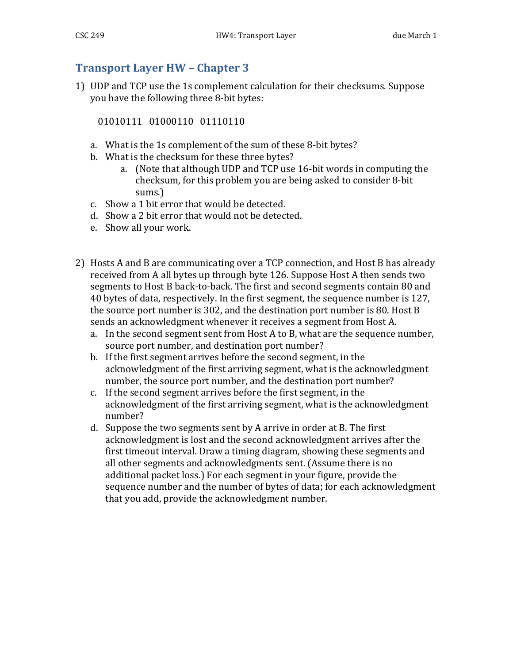## **Transport Layer HW – Chapter 3**

1) UDP and TCP use the 1s complement calculation for their checksums. Suppose you have the following three 8-bit bytes:

01010111 01000110 01110110

- a. What is the 1s complement of the sum of these 8-bit bytes?
- b. What is the checksum for these three bytes?
	- a. (Note that although UDP and TCP use 16-bit words in computing the checksum, for this problem you are being asked to consider 8-bit sums.)
- c. Show a 1 bit error that would be detected.
- d. Show a 2 bit error that would not be detected.
- e. Show all your work.
- 2) Hosts A and B are communicating over a TCP connection, and Host B has already received from A all bytes up through byte 126. Suppose Host A then sends two segments to Host B back-to-back. The first and second segments contain 80 and 40 bytes of data, respectively. In the first segment, the sequence number is 127, the source port number is 302, and the destination port number is 80. Host  $B$ sends an acknowledgment whenever it receives a segment from Host A.
	- a. In the second segment sent from Host A to B, what are the sequence number, source port number, and destination port number?
	- b. If the first segment arrives before the second segment, in the acknowledgment of the first arriving segment, what is the acknowledgment number, the source port number, and the destination port number?
	- c. If the second segment arrives before the first segment, in the acknowledgment of the first arriving segment, what is the acknowledgment number?
	- d. Suppose the two segments sent by A arrive in order at B. The first acknowledgment is lost and the second acknowledgment arrives after the first timeout interval. Draw a timing diagram, showing these segments and all other segments and acknowledgments sent. (Assume there is no additional packet loss.) For each segment in your figure, provide the sequence number and the number of bytes of data; for each acknowledgment that you add, provide the acknowledgment number.